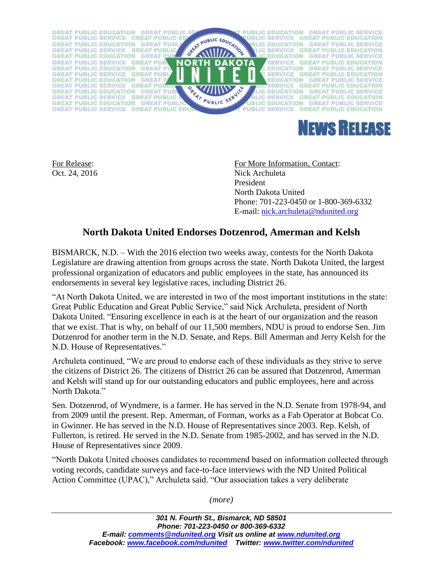



For Release: For More Information, Contact: Oct. 24, 2016 Nick Archuleta President North Dakota United Phone: 701-223-0450 or 1-800-369-6332 E-mail: [nick.archuleta@ndunited.org](mailto:nick.archuleta@ndunited.org)

## **North Dakota United Endorses Dotzenrod, Amerman and Kelsh**

BISMARCK, N.D. – With the 2016 election two weeks away, contests for the North Dakota Legislature are drawing attention from groups across the state. North Dakota United, the largest professional organization of educators and public employees in the state, has announced its endorsements in several key legislative races, including District 26.

"At North Dakota United, we are interested in two of the most important institutions in the state: Great Public Education and Great Public Service," said Nick Archuleta, president of North Dakota United. "Ensuring excellence in each is at the heart of our organization and the reason that we exist. That is why, on behalf of our 11,500 members, NDU is proud to endorse Sen. Jim Dotzenrod for another term in the N.D. Senate, and Reps. Bill Amerman and Jerry Kelsh for the N.D. House of Representatives."

Archuleta continued, "We are proud to endorse each of these individuals as they strive to serve the citizens of District 26. The citizens of District 26 can be assured that Dotzenrod, Amerman and Kelsh will stand up for our outstanding educators and public employees, here and across North Dakota."

Sen. Dotzenrod, of Wyndmere, is a farmer. He has served in the N.D. Senate from 1978-94, and from 2009 until the present. Rep. Amerman, of Forman, works as a Fab Operator at Bobcat Co. in Gwinner. He has served in the N.D. House of Representatives since 2003. Rep. Kelsh, of Fullerton, is retired. He served in the N.D. Senate from 1985-2002, and has served in the N.D. House of Representatives since 2009.

"North Dakota United chooses candidates to recommend based on information collected through voting records, candidate surveys and face-to-face interviews with the ND United Political Action Committee (UPAC)," Archuleta said. "Our association takes a very deliberate

*(more)*